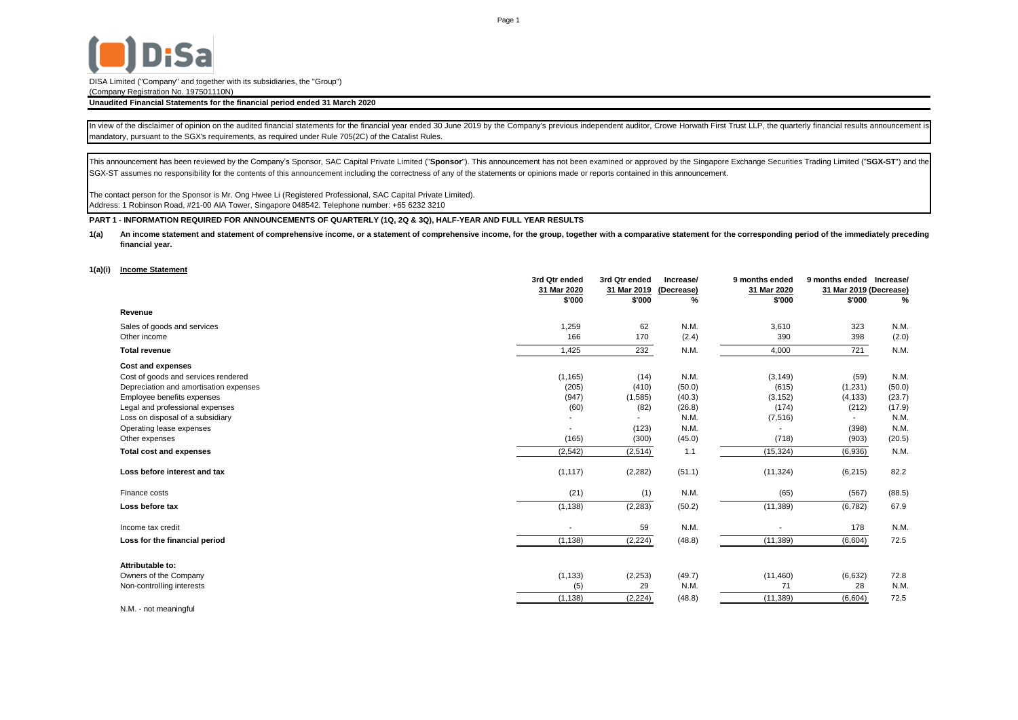

DISA Limited ("Company" and together with its subsidiaries, the "Group")

(Company Registration No. 197501110N)

### **Unaudited Financial Statements for the financial period ended 31 March 2020**

In view of the disclaimer of opinion on the audited financial statements for the financial year ended 30 June 2019 by the Company's previous independent auditor, Crowe Horwath First Trust LLP, the quarterly financial resul mandatory, pursuant to the SGX's requirements, as required under Rule 705(2C) of the Catalist Rules.

This announcement has been reviewed by the Company's Sponsor, SAC Capital Private Limited ("Sponsor"). This announcement has not been examined or approved by the Singapore Exchange Securities Trading Limited ("SGX-ST") and SGX-ST assumes no responsibility for the contents of this announcement including the correctness of any of the statements or opinions made or reports contained in this announcement.

The contact person for the Sponsor is Mr. Ong Hwee Li (Registered Professional, SAC Capital Private Limited). Address: 1 Robinson Road, #21-00 AIA Tower, Singapore 048542. Telephone number: +65 6232 3210

**PART 1 - INFORMATION REQUIRED FOR ANNOUNCEMENTS OF QUARTERLY (1Q, 2Q & 3Q), HALF-YEAR AND FULL YEAR RESULTS**

**1(a)** An income statement and statement of comprehensive income, or a statement of comprehensive income, for the group, together with a comparative statement for the corresponding period of the immediately preceding **financial year.**

#### **1(a)(i) Income Statement**

|                                        | 3rd Qtr ended  | 3rd Qtr ended | Increase/  | 9 months ended | 9 months ended           | Increase/ |
|----------------------------------------|----------------|---------------|------------|----------------|--------------------------|-----------|
|                                        | 31 Mar 2020    | 31 Mar 2019   | (Decrease) | 31 Mar 2020    | 31 Mar 2019 (Decrease)   |           |
|                                        | \$'000         | \$'000        | %          | \$'000         | \$'000                   | %         |
| Revenue                                |                |               |            |                |                          |           |
| Sales of goods and services            | 1,259          | 62            | N.M.       | 3,610          | 323                      | N.M.      |
| Other income                           | 166            | 170           | (2.4)      | 390            | 398                      | (2.0)     |
| <b>Total revenue</b>                   | 1,425          | 232           | N.M.       | 4,000          | 721                      | N.M.      |
| <b>Cost and expenses</b>               |                |               |            |                |                          |           |
| Cost of goods and services rendered    | (1, 165)       | (14)          | N.M.       | (3, 149)       | (59)                     | N.M.      |
| Depreciation and amortisation expenses | (205)          | (410)         | (50.0)     | (615)          | (1,231)                  | (50.0)    |
| Employee benefits expenses             | (947)          | (1,585)       | (40.3)     | (3, 152)       | (4, 133)                 | (23.7)    |
| Legal and professional expenses        | (60)           | (82)          | (26.8)     | (174)          | (212)                    | (17.9)    |
| Loss on disposal of a subsidiary       |                |               | N.M.       | (7, 516)       | $\overline{\phantom{0}}$ | N.M.      |
| Operating lease expenses               |                | (123)         | N.M.       |                | (398)                    | N.M.      |
| Other expenses                         | (165)          | (300)         | (45.0)     | (718)          | (903)                    | (20.5)    |
| <b>Total cost and expenses</b>         | (2, 542)       | (2, 514)      | 1.1        | (15, 324)      | (6,936)                  | N.M.      |
| Loss before interest and tax           | (1, 117)       | (2, 282)      | (51.1)     | (11, 324)      | (6, 215)                 | 82.2      |
| Finance costs                          | (21)           | (1)           | N.M.       | (65)           | (567)                    | (88.5)    |
| Loss before tax                        | (1, 138)       | (2, 283)      | (50.2)     | (11, 389)      | (6, 782)                 | 67.9      |
| Income tax credit                      | $\blacksquare$ | 59            | N.M.       |                | 178                      | N.M.      |
| Loss for the financial period          | (1, 138)       | (2, 224)      | (48.8)     | (11, 389)      | (6,604)                  | 72.5      |
|                                        |                |               |            |                |                          |           |
| Attributable to:                       |                |               |            |                |                          |           |
| Owners of the Company                  | (1, 133)       | (2, 253)      | (49.7)     | (11, 460)      | (6,632)                  | 72.8      |
| Non-controlling interests              | (5)            | 29            | N.M.       | 71             | 28                       | N.M.      |
|                                        | (1, 138)       | (2, 224)      | (48.8)     | (11, 389)      | (6,604)                  | 72.5      |
| N.M. - not meaningful                  |                |               |            |                |                          |           |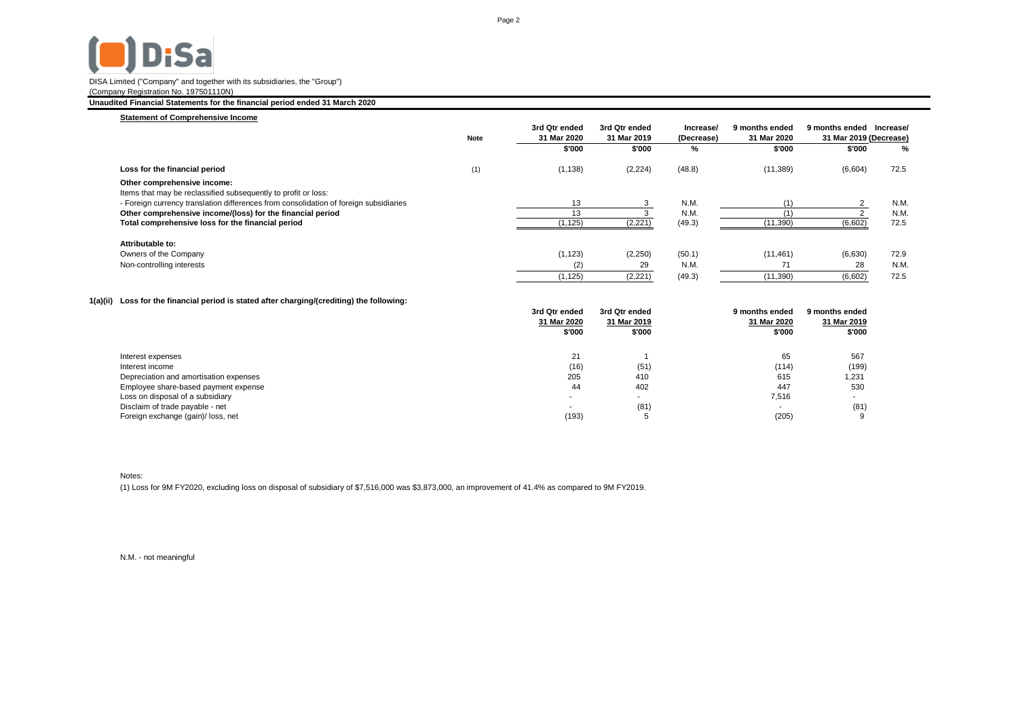# **D**<sub>i</sub>Sa

# DISA Limited ("Company" and together with its subsidiaries, the "Group")

(Company Registration No. 197501110N)

## **Unaudited Financial Statements for the financial period ended 31 March 2020**

| <b>Statement of Comprehensive Income</b>                                              |             |                              |                              |                         |                               |                                          |           |
|---------------------------------------------------------------------------------------|-------------|------------------------------|------------------------------|-------------------------|-------------------------------|------------------------------------------|-----------|
|                                                                                       | <b>Note</b> | 3rd Qtr ended<br>31 Mar 2020 | 3rd Qtr ended<br>31 Mar 2019 | Increase/<br>(Decrease) | 9 months ended<br>31 Mar 2020 | 9 months ended<br>31 Mar 2019 (Decrease) | Increase/ |
|                                                                                       |             | \$'000                       | \$'000                       | %                       | \$'000                        | \$'000                                   | %         |
| Loss for the financial period                                                         | (1)         | (1, 138)                     | (2, 224)                     | (48.8)                  | (11, 389)                     | (6,604)                                  | 72.5      |
| Other comprehensive income:                                                           |             |                              |                              |                         |                               |                                          |           |
| Items that may be reclassified subsequently to profit or loss:                        |             |                              |                              |                         |                               |                                          |           |
| - Foreign currency translation differences from consolidation of foreign subsidiaries |             | 13                           |                              | N.M.                    |                               |                                          | N.M.      |
| Other comprehensive income/(loss) for the financial period                            |             | 13                           |                              | N.M.                    |                               |                                          | N.M.      |
| Total comprehensive loss for the financial period                                     |             | (1, 125)                     | (2, 221)                     | (49.3)                  | (11, 390)                     | (6,602)                                  | 72.5      |
| Attributable to:                                                                      |             |                              |                              |                         |                               |                                          |           |
| Owners of the Company                                                                 |             | (1, 123)                     | (2,250)                      | (50.1)                  | (11, 461)                     | (6,630)                                  | 72.9      |
| Non-controlling interests                                                             |             | (2)                          | 29                           | N.M.                    | 71                            | 28                                       | N.M.      |
|                                                                                       |             | (1, 125)                     | (2, 221)                     | (49.3)                  | (11, 390)                     | (6,602)                                  | 72.5      |

## **1(a)(ii) Loss for the financial period is stated after charging/(crediting) the following:**

|                                        | 3rd Qtr ended | 3rd Qtr ended | 9 months ended           | 9 months ended |
|----------------------------------------|---------------|---------------|--------------------------|----------------|
|                                        | 31 Mar 2020   | 31 Mar 2019   | 31 Mar 2020              | 31 Mar 2019    |
|                                        | \$'000        | \$'000        | \$'000                   | \$'000         |
|                                        |               |               |                          |                |
| Interest expenses                      | 21            |               | 65                       | 567            |
| Interest income                        | (16)          | (51)          | (114)                    | (199)          |
| Depreciation and amortisation expenses | 205           | 410           | 615                      | 1,231          |
| Employee share-based payment expense   | 44            | 402           | 447                      | 530            |
| Loss on disposal of a subsidiary       | ۰.            |               | 7,516                    |                |
| Disclaim of trade payable - net        |               | (81)          | $\overline{\phantom{a}}$ | (81)           |
| Foreign exchange (gain)/ loss, net     | (193)         |               | (205)                    | 9              |

Notes:

(1) Loss for 9M FY2020, excluding loss on disposal of subsidiary of \$7,516,000 was \$3,873,000, an improvement of 41.4% as compared to 9M FY2019.

N.M. - not meaningful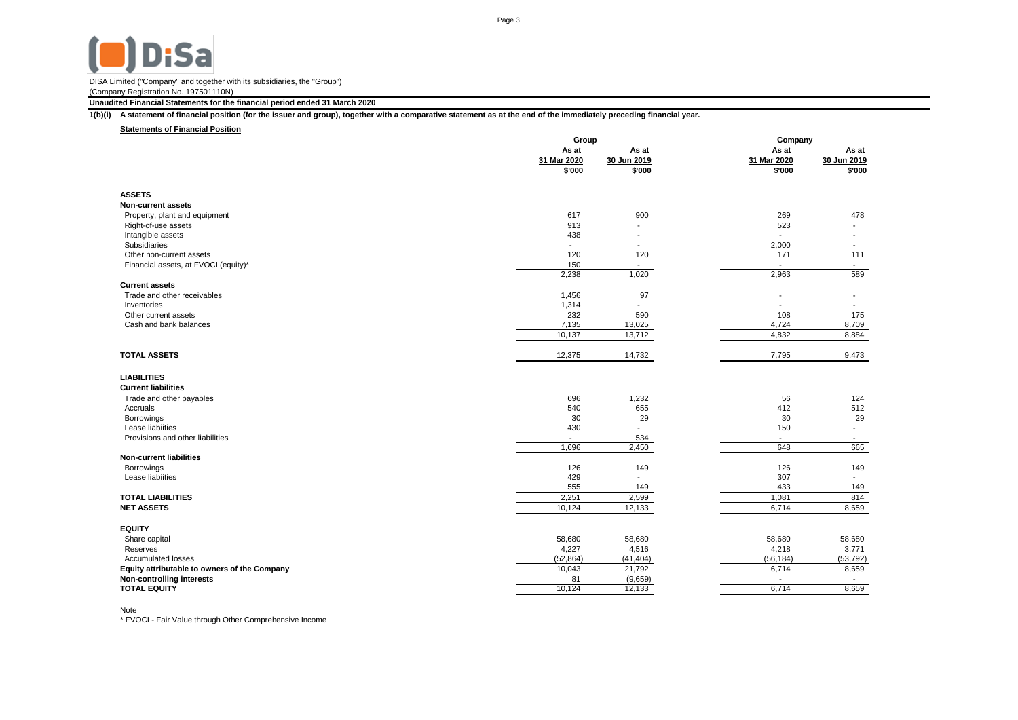### **Unaudited Financial Statements for the financial period ended 31 March 2020**

**1(b)(i) A statement of financial position (for the issuer and group), together with a comparative statement as at the end of the immediately preceding financial year.**

### **Statements of Financial Position**

|                                                      | Group          |                          | Company                  |                          |
|------------------------------------------------------|----------------|--------------------------|--------------------------|--------------------------|
|                                                      | As at          | As at                    | As at                    | As at                    |
|                                                      | 31 Mar 2020    | 30 Jun 2019              | 31 Mar 2020              | 30 Jun 2019              |
|                                                      | \$'000         | \$'000                   | \$'000                   | \$'000                   |
| <b>ASSETS</b>                                        |                |                          |                          |                          |
| <b>Non-current assets</b>                            |                |                          |                          |                          |
|                                                      | 617            | 900                      | 269                      | 478                      |
| Property, plant and equipment<br>Right-of-use assets | 913            |                          | 523                      |                          |
| Intangible assets                                    | 438            |                          |                          |                          |
| Subsidiaries                                         | $\sim$         | $\overline{\phantom{a}}$ | 2,000                    |                          |
| Other non-current assets                             | 120            | 120                      | 171                      | 111                      |
| Financial assets, at FVOCI (equity)*                 | 150            | $\sim$                   | $\sim$                   | $\sim$                   |
|                                                      | 2,238          | 1,020                    | 2,963                    | 589                      |
| <b>Current assets</b>                                |                |                          |                          |                          |
| Trade and other receivables                          | 1,456          | 97                       |                          |                          |
| Inventories                                          | 1,314          | $\blacksquare$           |                          |                          |
| Other current assets                                 | 232            | 590                      | 108                      | 175                      |
| Cash and bank balances                               | 7,135          | 13,025                   | 4,724                    | 8,709                    |
|                                                      | 10,137         | 13,712                   | 4,832                    | 8,884                    |
|                                                      |                |                          |                          |                          |
| <b>TOTAL ASSETS</b>                                  | 12,375         | 14,732                   | 7,795                    | 9,473                    |
| <b>LIABILITIES</b>                                   |                |                          |                          |                          |
| <b>Current liabilities</b>                           |                |                          |                          |                          |
| Trade and other payables                             | 696            | 1,232                    | 56                       | 124                      |
| Accruals                                             | 540            | 655                      | 412                      | 512                      |
| Borrowings                                           | 30             | 29                       | 30                       | 29                       |
| Lease liabiities                                     | 430            | $\overline{\phantom{a}}$ | 150                      |                          |
| Provisions and other liabilities                     | $\blacksquare$ | 534                      | $\sim$                   | $\overline{\phantom{a}}$ |
|                                                      | 1,696          | 2,450                    | 648                      | 665                      |
| <b>Non-current liabilities</b>                       |                |                          |                          |                          |
| Borrowings                                           | 126            | 149                      | 126                      | 149                      |
| Lease liabiities                                     | 429            | $\sim$                   | 307                      | $\overline{\phantom{a}}$ |
|                                                      | 555            | 149                      | 433                      | 149                      |
| <b>TOTAL LIABILITIES</b>                             | 2,251          | 2,599                    | 1,081                    | 814                      |
| <b>NET ASSETS</b>                                    | 10,124         | 12,133                   | 6,714                    | 8,659                    |
|                                                      |                |                          |                          |                          |
| <b>EQUITY</b>                                        |                |                          |                          |                          |
| Share capital                                        | 58,680         | 58,680                   | 58,680                   | 58,680                   |
| Reserves                                             | 4,227          | 4,516                    | 4,218                    | 3,771                    |
| Accumulated losses                                   | (52, 864)      | (41, 404)                | (56, 184)                | (53, 792)                |
| Equity attributable to owners of the Company         | 10,043         | 21,792                   | 6,714                    | 8,659                    |
| Non-controlling interests                            | 81             | (9,659)                  | $\overline{\phantom{a}}$ | $\overline{\phantom{a}}$ |
| <b>TOTAL EQUITY</b>                                  | 10,124         | 12,133                   | 6.714                    | 8,659                    |

Note

\* FVOCI - Fair Value through Other Comprehensive Income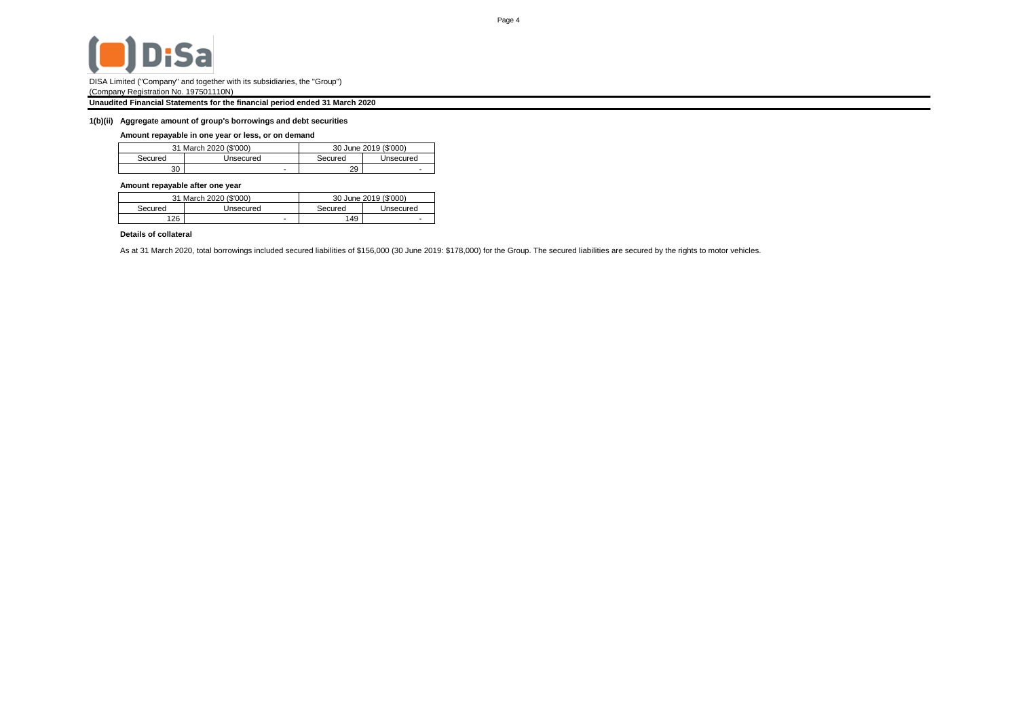

## **Unaudited Financial Statements for the financial period ended 31 March 2020**

### **1(b)(ii) Aggregate amount of group's borrowings and debt securities**

## **Amount repayable in one year or less, or on demand**

|         | 31 March 2020 (\$'000) |         | 30 June 2019 (\$'000) |
|---------|------------------------|---------|-----------------------|
| Secured | Unsecured              | Secured | Unsecured             |
| 30      |                        | 29      |                       |

### **Amount repayable after one year**

|         | 31 March 2020 (\$'000) |         | 30 June 2019 (\$'000)    |
|---------|------------------------|---------|--------------------------|
| Secured | Jnsecured              | Secured | Unsecured                |
| 126     |                        | '49     | $\overline{\phantom{a}}$ |

## **Details of collateral**

As at 31 March 2020, total borrowings included secured liabilities of \$156,000 (30 June 2019: \$178,000) for the Group. The secured liabilities are secured by the rights to motor vehicles.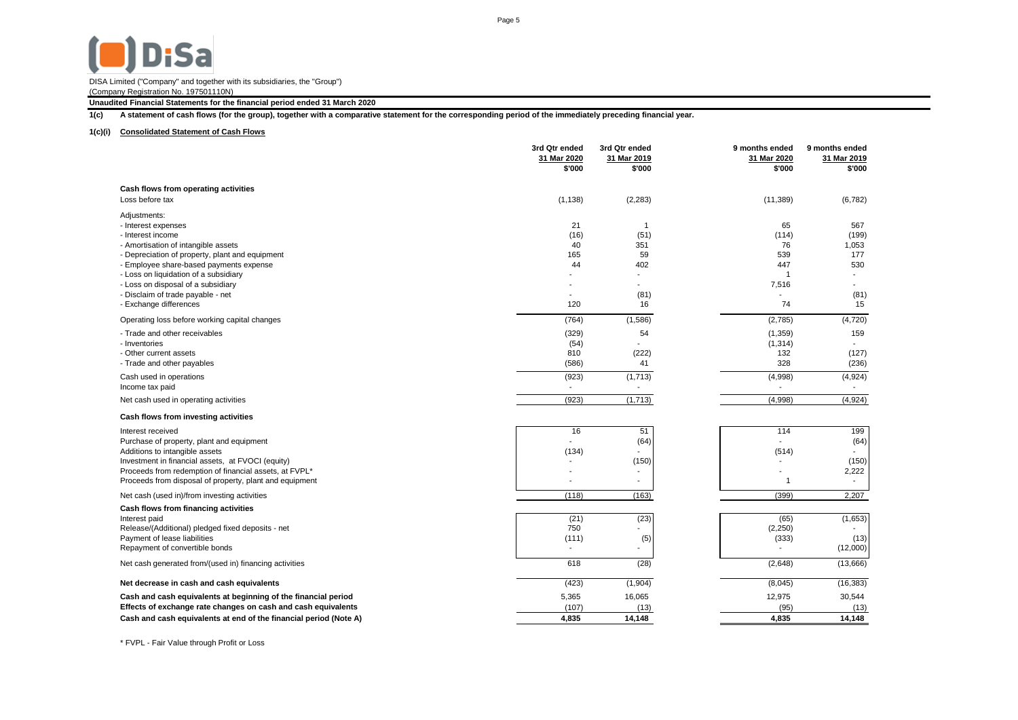# **D**<sub>i</sub>Sa

DISA Limited ("Company" and together with its subsidiaries, the "Group") (Company Registration No. 197501110N)

**Unaudited Financial Statements for the financial period ended 31 March 2020**

**1(c) A statement of cash flows (for the group), together with a comparative statement for the corresponding period of the immediately preceding financial year.**

## **1(c)(i) Consolidated Statement of Cash Flows**

|                                                                                   | 3rd Qtr ended<br>31 Mar 2020<br>\$'000 | 3rd Qtr ended<br>31 Mar 2019<br>\$'000 | 9 months ended<br>31 Mar 2020<br>\$'000 | 9 months ended<br>31 Mar 2019<br>\$'000 |
|-----------------------------------------------------------------------------------|----------------------------------------|----------------------------------------|-----------------------------------------|-----------------------------------------|
| Cash flows from operating activities                                              |                                        |                                        |                                         |                                         |
| Loss before tax                                                                   | (1, 138)                               | (2, 283)                               | (11, 389)                               | (6, 782)                                |
| Adjustments:                                                                      |                                        |                                        |                                         |                                         |
| - Interest expenses                                                               | 21                                     | $\mathbf{1}$                           | 65                                      | 567                                     |
| - Interest income                                                                 | (16)                                   | (51)                                   | (114)                                   | (199)                                   |
| - Amortisation of intangible assets                                               | 40                                     | 351                                    | 76                                      | 1,053                                   |
| - Depreciation of property, plant and equipment                                   | 165<br>44                              | 59<br>402                              | 539<br>447                              | 177<br>530                              |
| - Employee share-based payments expense<br>- Loss on liquidation of a subsidiary  |                                        |                                        |                                         |                                         |
| - Loss on disposal of a subsidiary                                                |                                        |                                        | 7,516                                   |                                         |
| - Disclaim of trade payable - net                                                 | ٠                                      | (81)                                   |                                         | (81)                                    |
| - Exchange differences                                                            | 120                                    | 16                                     | 74                                      | 15                                      |
| Operating loss before working capital changes                                     | (764)                                  | (1,586)                                | (2,785)                                 | (4,720)                                 |
| - Trade and other receivables                                                     | (329)                                  | 54                                     | (1, 359)                                | 159                                     |
| - Inventories                                                                     | (54)                                   |                                        | (1, 314)                                |                                         |
| - Other current assets                                                            | 810                                    | (222)                                  | 132                                     | (127)                                   |
| - Trade and other payables                                                        | (586)                                  | 41                                     | 328                                     | (236)                                   |
| Cash used in operations                                                           | (923)                                  | (1,713)                                | (4,998)                                 | (4,924)                                 |
| Income tax paid                                                                   |                                        |                                        |                                         |                                         |
| Net cash used in operating activities                                             | (923)                                  | (1,713)                                | (4,998)                                 | (4,924)                                 |
| Cash flows from investing activities                                              |                                        |                                        |                                         |                                         |
| Interest received                                                                 | 16                                     | 51                                     | 114                                     | 199                                     |
| Purchase of property, plant and equipment                                         |                                        | (64)                                   |                                         | (64)                                    |
| Additions to intangible assets                                                    | (134)                                  |                                        | (514)                                   |                                         |
| Investment in financial assets, at FVOCI (equity)                                 |                                        | (150)                                  |                                         | (150)                                   |
| Proceeds from redemption of financial assets, at FVPL*                            |                                        |                                        |                                         | 2,222                                   |
| Proceeds from disposal of property, plant and equipment                           |                                        |                                        | 1                                       |                                         |
| Net cash (used in)/from investing activities                                      | (118)                                  | (163)                                  | (399)                                   | 2,207                                   |
| Cash flows from financing activities                                              |                                        |                                        |                                         |                                         |
| Interest paid                                                                     | (21)                                   | (23)                                   | (65)                                    | (1,653)                                 |
| Release/(Additional) pledged fixed deposits - net<br>Payment of lease liabilities | 750<br>(111)                           | (5)                                    | (2,250)<br>(333)                        | (13)                                    |
| Repayment of convertible bonds                                                    | $\overline{\phantom{a}}$               | ÷.                                     |                                         | (12,000)                                |
| Net cash generated from/(used in) financing activities                            | 618                                    | (28)                                   | (2,648)                                 | (13,666)                                |
|                                                                                   |                                        |                                        |                                         |                                         |
| Net decrease in cash and cash equivalents                                         | (423)                                  | (1,904)                                | (8,045)                                 | (16, 383)                               |
| Cash and cash equivalents at beginning of the financial period                    | 5,365                                  | 16,065                                 | 12,975                                  | 30,544                                  |
| Effects of exchange rate changes on cash and cash equivalents                     | (107)                                  | (13)                                   | (95)                                    | (13)                                    |
| Cash and cash equivalents at end of the financial period (Note A)                 | 4,835                                  | 14.148                                 | 4.835                                   | 14,148                                  |

\* FVPL - Fair Value through Profit or Loss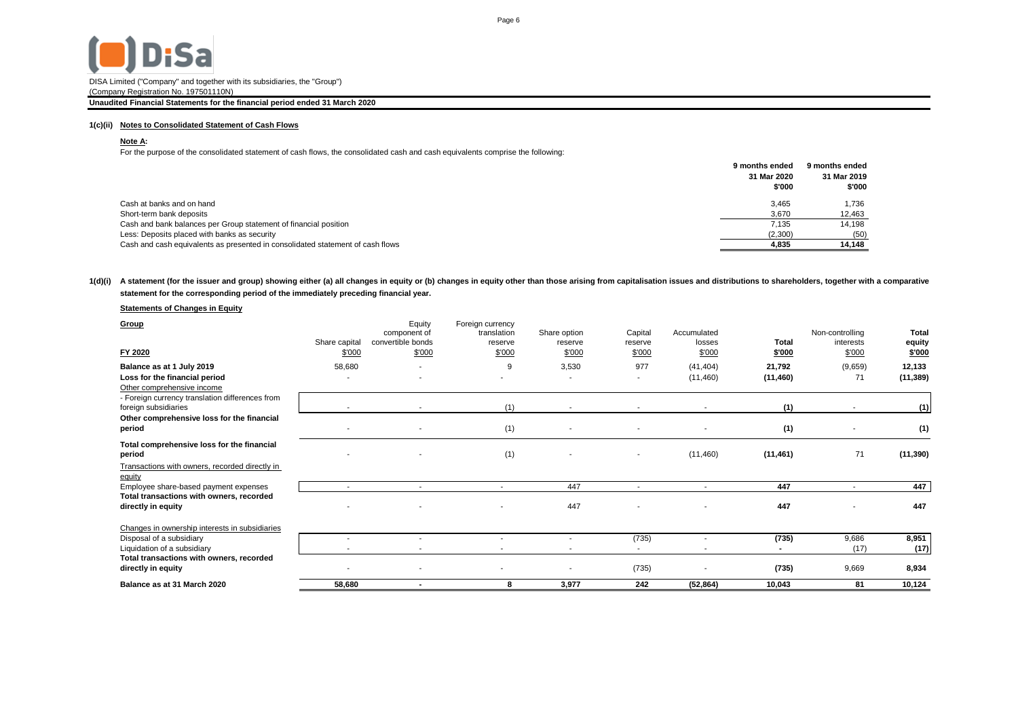

DISA Limited ("Company" and together with its subsidiaries, the "Group")

## (Company Registration No. 197501110N)

## **Unaudited Financial Statements for the financial period ended 31 March 2020**

## **1(c)(ii) Notes to Consolidated Statement of Cash Flows**

## **Note A:**

For the purpose of the consolidated statement of cash flows, the consolidated cash and cash equivalents comprise the following:

| 31 Mar 2020<br>31 Mar 2019<br>\$'000<br>\$'000<br>Cash at banks and on hand<br>1.736<br>3.465<br>Short-term bank deposits<br>3.670<br>12,463<br>Cash and bank balances per Group statement of financial position<br>14.198<br>7.135<br>Less: Deposits placed with banks as security<br>(2,300)<br>(50)<br>Cash and cash equivalents as presented in consolidated statement of cash flows<br>14.148<br>4.835 | 9 months ended | 9 months ended |
|-------------------------------------------------------------------------------------------------------------------------------------------------------------------------------------------------------------------------------------------------------------------------------------------------------------------------------------------------------------------------------------------------------------|----------------|----------------|
|                                                                                                                                                                                                                                                                                                                                                                                                             |                |                |
|                                                                                                                                                                                                                                                                                                                                                                                                             |                |                |
|                                                                                                                                                                                                                                                                                                                                                                                                             |                |                |
|                                                                                                                                                                                                                                                                                                                                                                                                             |                |                |
|                                                                                                                                                                                                                                                                                                                                                                                                             |                |                |
|                                                                                                                                                                                                                                                                                                                                                                                                             |                |                |
|                                                                                                                                                                                                                                                                                                                                                                                                             |                |                |

## 1(d)(i) A statement (for the issuer and group) showing either (a) all changes in equity or (b) changes in equity other than those arising from capitalisation issues and distributions to shareholders, together with a compar **statement for the corresponding period of the immediately preceding financial year.**

## **Statements of Changes in Equity**

| Group<br>FY 2020                                               | Share capital<br>\$'000  | Equity<br>component of<br>convertible bonds<br>\$'000 | Foreign currency<br>translation<br>reserve<br>\$'000 | Share option<br>reserve<br>\$'000 | Capital<br>reserve<br>\$'000 | Accumulated<br>losses<br>\$000 | <b>Total</b><br>\$'000 | Non-controlling<br>interests<br>\$'000 | <b>Total</b><br>equity<br>\$'000 |
|----------------------------------------------------------------|--------------------------|-------------------------------------------------------|------------------------------------------------------|-----------------------------------|------------------------------|--------------------------------|------------------------|----------------------------------------|----------------------------------|
|                                                                |                          |                                                       | 9                                                    |                                   | 977                          |                                |                        |                                        |                                  |
| Balance as at 1 July 2019<br>Loss for the financial period     | 58,680                   |                                                       |                                                      | 3,530<br>$\blacksquare$           |                              | (41, 404)                      | 21,792<br>(11, 460)    | (9,659)<br>71                          | 12,133<br>(11, 389)              |
| Other comprehensive income                                     | $\overline{\phantom{a}}$ |                                                       |                                                      |                                   |                              | (11, 460)                      |                        |                                        |                                  |
| - Foreign currency translation differences from                |                          |                                                       |                                                      |                                   |                              |                                |                        |                                        |                                  |
| foreign subsidiaries                                           |                          | $\overline{\phantom{a}}$                              | (1)                                                  | $\overline{\phantom{a}}$          |                              |                                | (1)                    |                                        | (1)                              |
| Other comprehensive loss for the financial                     |                          |                                                       |                                                      |                                   |                              |                                |                        |                                        |                                  |
| period                                                         |                          |                                                       | (1)                                                  |                                   |                              |                                | (1)                    |                                        | (1)                              |
| Total comprehensive loss for the financial                     |                          |                                                       |                                                      |                                   |                              |                                |                        |                                        |                                  |
| period                                                         |                          |                                                       | (1)                                                  |                                   |                              | (11, 460)                      | (11, 461)              | 71                                     | (11, 390)                        |
| Transactions with owners, recorded directly in<br>equity       |                          |                                                       |                                                      |                                   |                              |                                |                        |                                        |                                  |
| Employee share-based payment expenses                          | $\overline{\phantom{a}}$ | $\sim$                                                | $\overline{\phantom{a}}$                             | 447                               |                              | $\overline{\phantom{a}}$       | 447                    | $\overline{\phantom{a}}$               | 447                              |
| Total transactions with owners, recorded                       |                          |                                                       |                                                      |                                   |                              |                                |                        |                                        |                                  |
| directly in equity                                             |                          |                                                       |                                                      | 447                               |                              |                                | 447                    |                                        | 447                              |
| Changes in ownership interests in subsidiaries                 |                          |                                                       |                                                      |                                   |                              |                                |                        |                                        |                                  |
| Disposal of a subsidiary                                       | $\overline{\phantom{a}}$ | $\overline{a}$                                        | $\overline{\phantom{a}}$                             | ٠.                                | (735)                        |                                | (735)                  | 9,686                                  | 8,951                            |
| Liquidation of a subsidiary                                    | $\overline{\phantom{a}}$ |                                                       |                                                      | $\overline{\phantom{a}}$          |                              |                                |                        | (17)                                   | (17)                             |
| Total transactions with owners, recorded<br>directly in equity |                          |                                                       |                                                      |                                   | (735)                        |                                | (735)                  | 9,669                                  | 8,934                            |
| Balance as at 31 March 2020                                    | 58.680                   | $\blacksquare$                                        | 8                                                    | 3.977                             | 242                          | (52, 864)                      | 10.043                 | 81                                     | 10,124                           |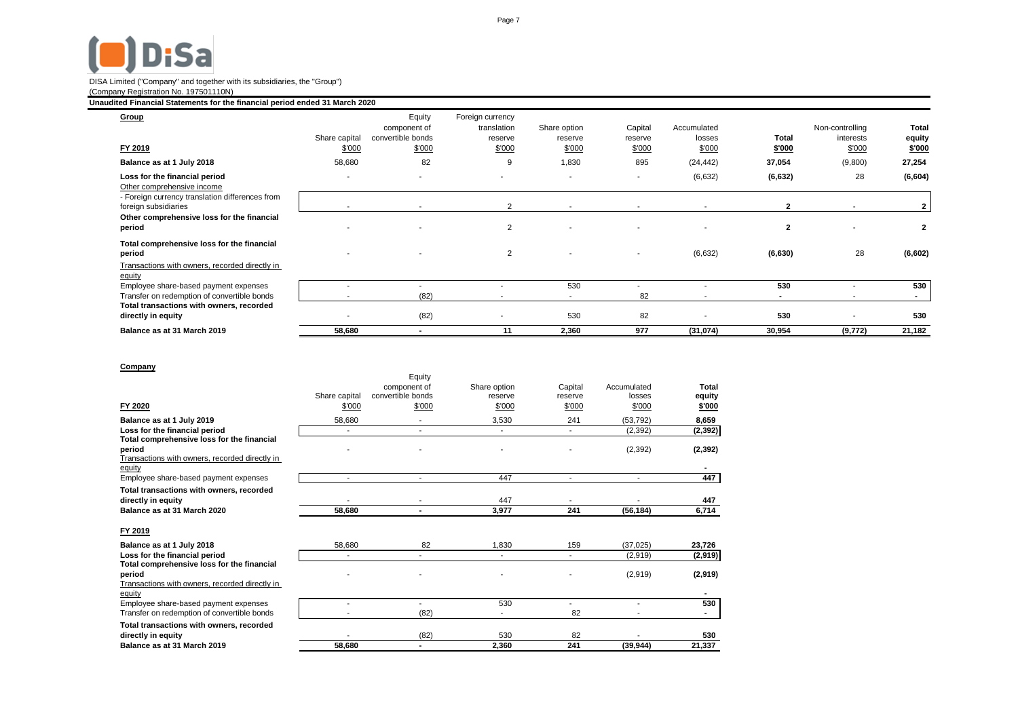# $\blacksquare$ Disa

#### DISA Limited ("Company" and together with its subsidiaries, the "Group") (Company Registration No. 197501110N)

## **Unaudited Financial Statements for the financial period ended 31 March 2020**

| Group<br>FY 2019                                                        | Share capital<br>\$'000  | Equity<br>component of<br>convertible bonds<br>\$'000 | Foreign currency<br>translation<br>reserve<br>\$'000 | Share option<br>reserve<br>\$'000 | Capital<br>reserve<br>\$'000 | Accumulated<br>losses<br>\$'000 | Total<br>\$'000 | Non-controlling<br>interests<br>\$'000 | <b>Total</b><br>equity<br>\$'000 |
|-------------------------------------------------------------------------|--------------------------|-------------------------------------------------------|------------------------------------------------------|-----------------------------------|------------------------------|---------------------------------|-----------------|----------------------------------------|----------------------------------|
| Balance as at 1 July 2018                                               | 58,680                   | 82                                                    | 9                                                    | 1,830                             | 895                          | (24, 442)                       | 37,054          | (9,800)                                | 27,254                           |
| Loss for the financial period                                           | $\overline{\phantom{a}}$ | $\sim$                                                | $\overline{\phantom{a}}$                             |                                   | $\overline{\phantom{a}}$     | (6,632)                         | (6, 632)        | 28                                     | (6,604)                          |
| Other comprehensive income                                              |                          |                                                       |                                                      |                                   |                              |                                 |                 |                                        |                                  |
| - Foreign currency translation differences from<br>foreign subsidiaries |                          |                                                       | $\overline{2}$                                       | $\overline{\phantom{a}}$          | $\sim$                       | $\overline{\phantom{a}}$        | $\overline{2}$  | $\overline{\phantom{a}}$               |                                  |
| Other comprehensive loss for the financial<br>period                    |                          |                                                       | 2                                                    |                                   |                              |                                 | $\overline{2}$  |                                        | $\mathbf{2}$                     |
| Total comprehensive loss for the financial<br>period                    | $\overline{\phantom{a}}$ |                                                       | $\overline{2}$                                       | $\overline{\phantom{a}}$          |                              | (6,632)                         | (6, 630)        | 28                                     | (6,602)                          |
| Transactions with owners, recorded directly in<br>equity                |                          |                                                       |                                                      |                                   |                              |                                 |                 |                                        |                                  |
| Employee share-based payment expenses                                   |                          |                                                       |                                                      | 530                               |                              |                                 | 530             | $\overline{\phantom{a}}$               | 530                              |
| Transfer on redemption of convertible bonds                             |                          | (82)                                                  |                                                      |                                   | 82                           |                                 | $\blacksquare$  | $\overline{\phantom{a}}$               | $\sim$                           |
| Total transactions with owners, recorded<br>directly in equity          |                          | (82)                                                  |                                                      | 530                               | 82                           |                                 | 530             | $\overline{\phantom{a}}$               | 530                              |
| Balance as at 31 March 2019                                             | 58,680                   |                                                       | 11                                                   | 2,360                             | 977                          | (31, 074)                       | 30,954          | (9, 772)                               | 21,182                           |

## **Company**

|                                                                                                        |                | Equity            |              |                |             |          |
|--------------------------------------------------------------------------------------------------------|----------------|-------------------|--------------|----------------|-------------|----------|
|                                                                                                        |                | component of      | Share option | Capital        | Accumulated | Total    |
|                                                                                                        | Share capital  | convertible bonds | reserve      | reserve        | losses      | equity   |
| FY 2020                                                                                                | \$'000         | \$'000            | \$'000       | \$'000         | \$'000      | \$'000   |
| Balance as at 1 July 2019                                                                              | 58,680         |                   | 3,530        | 241            | (53, 792)   | 8,659    |
| Loss for the financial period                                                                          | ٠              | $\blacksquare$    |              | ۰.             | (2, 392)    | (2, 392) |
| Total comprehensive loss for the financial<br>period<br>Transactions with owners, recorded directly in |                |                   |              |                | (2, 392)    | (2, 392) |
| equity                                                                                                 |                |                   |              |                |             |          |
| Employee share-based payment expenses                                                                  | $\blacksquare$ |                   | 447          | $\blacksquare$ | $\sim$      | 447      |
| Total transactions with owners, recorded                                                               |                |                   |              |                |             |          |
| directly in equity                                                                                     |                |                   | 447          |                |             | 447      |
| Balance as at 31 March 2020                                                                            | 58,680         |                   | 3,977        | 241            | (56, 184)   | 6,714    |
| FY 2019                                                                                                |                |                   |              |                |             |          |
| Balance as at 1 July 2018                                                                              | 58,680         | 82                | 1,830        | 159            | (37, 025)   | 23,726   |
| Loss for the financial period                                                                          |                |                   |              |                | (2,919)     | (2,919)  |
| Total comprehensive loss for the financial<br>period<br>Transactions with owners, recorded directly in |                |                   |              |                | (2,919)     | (2,919)  |
| equity                                                                                                 |                |                   |              |                |             |          |
| Employee share-based payment expenses                                                                  |                |                   | 530          |                |             | 530      |
| Transfer on redemption of convertible bonds                                                            |                | (82)              |              | 82             |             |          |
| Total transactions with owners, recorded                                                               |                |                   |              |                |             |          |
| directly in equity                                                                                     |                | (82)              | 530          | 82             |             | 530      |
| Balance as at 31 March 2019                                                                            | 58,680         |                   | 2,360        | 241            | (39, 944)   | 21,337   |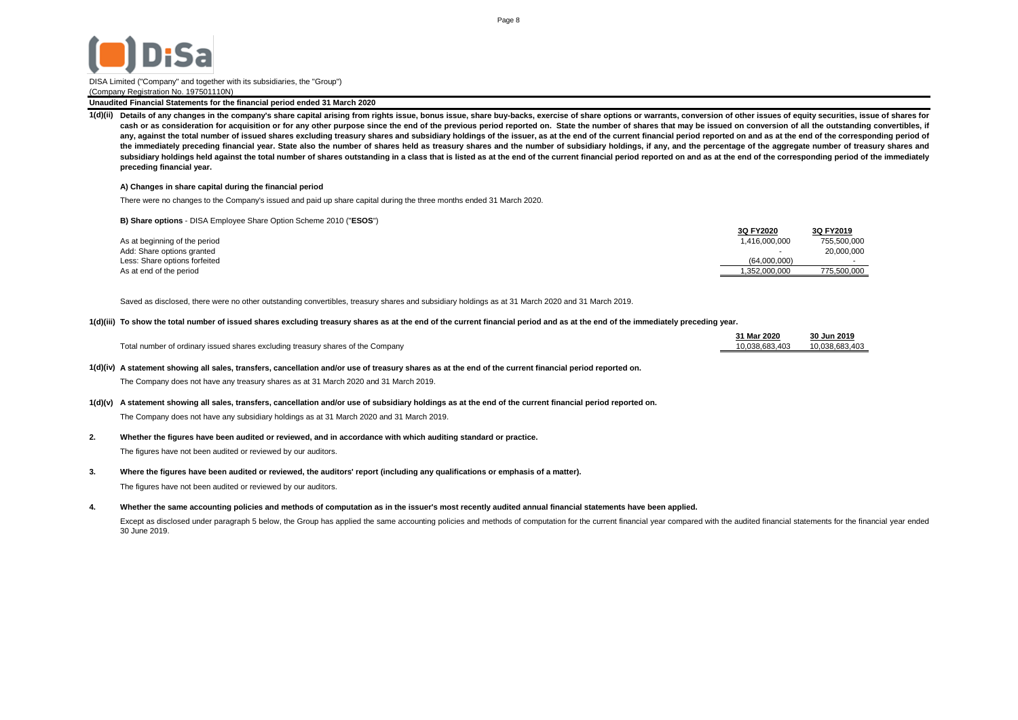

**Unaudited Financial Statements for the financial period ended 31 March 2020**

1(d)(ii) Details of any changes in the company's share capital arising from rights issue, bonus issue, share buy-backs, exercise of share options or warrants, conversion of other issues of equity securities, issue of share cash or as consideration for acquisition or for any other purpose since the end of the previous period reported on. State the number of shares that may be issued on conversion of all the outstanding convertibles, if any, against the total number of issued shares excluding treasury shares and subsidiary holdings of the issuer, as at the end of the current financial period reported on and as at the end of the corresponding period of the immediately preceding financial year. State also the number of shares held as treasury shares and the number of subsidiary holdings, if any, and the percentage of the aggregate number of treasury shares and subsidiary holdings held against the total number of shares outstanding in a class that is listed as at the end of the current financial period reported on and as at the end of the corresponding period of the immediately **preceding financial year.**

#### **A) Changes in share capital during the financial period**

There were no changes to the Company's issued and paid up share capital during the three months ended 31 March 2020.

**B) Share options** - DISA Employee Share Option Scheme 2010 ("**ESOS**")

|                               | 3Q FY2020     | 3Q FY2019   |
|-------------------------------|---------------|-------------|
| As at beginning of the period | 1.416.000.000 | 755,500,000 |
| Add: Share options granted    | . .           | 20,000,000  |
| Less: Share options forfeited | (64.000.000)  |             |
| As at end of the period       | 1.352.000.000 | 775.500.000 |
|                               |               |             |

Saved as disclosed, there were no other outstanding convertibles, treasury shares and subsidiary holdings as at 31 March 2020 and 31 March 2019.

#### **1(d)(iii) To show the total number of issued shares excluding treasury shares as at the end of the current financial period and as at the end of the immediately preceding year.**

|                                                                                 | 31 Mar 2020    | 30 Jun 2019    |
|---------------------------------------------------------------------------------|----------------|----------------|
| Total number of ordinary issued shares excluding treasury shares of the Company | 10.038.683.403 | 10.038.683.403 |

#### **1(d)(iv) A statement showing all sales, transfers, cancellation and/or use of treasury shares as at the end of the current financial period reported on.**

The Company does not have any treasury shares as at 31 March 2020 and 31 March 2019.

### **1(d)(v) A statement showing all sales, transfers, cancellation and/or use of subsidiary holdings as at the end of the current financial period reported on.**

The Company does not have any subsidiary holdings as at 31 March 2020 and 31 March 2019.

#### **2. Whether the figures have been audited or reviewed, and in accordance with which auditing standard or practice.**

The figures have not been audited or reviewed by our auditors.

**3. Where the figures have been audited or reviewed, the auditors' report (including any qualifications or emphasis of a matter).** The figures have not been audited or reviewed by our auditors.

#### **4. Whether the same accounting policies and methods of computation as in the issuer's most recently audited annual financial statements have been applied.**

Except as disclosed under paragraph 5 below, the Group has applied the same accounting policies and methods of computation for the current financial year compared with the audited financial statements for the financial yea 30 June 2019.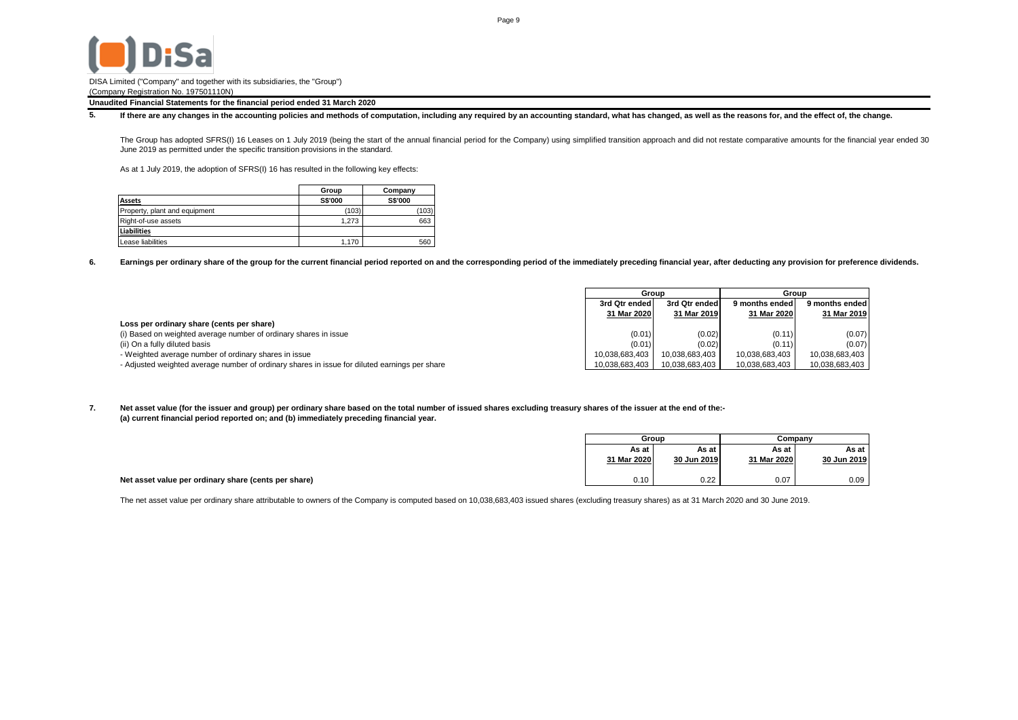

**Unaudited Financial Statements for the financial period ended 31 March 2020**

**5.** If there are any changes in the accounting policies and methods of computation, including any required by an accounting standard, what has changed, as well as the reasons for, and the effect of, the change.

The Group has adopted SFRS(I) 16 Leases on 1 July 2019 (being the start of the annual financial period for the Company) using simplified transition approach and did not restate comparative amounts for the financial year en June 2019 as permitted under the specific transition provisions in the standard.

As at 1 July 2019, the adoption of SFRS(I) 16 has resulted in the following key effects:

|                               | Group          | Company |
|-------------------------------|----------------|---------|
| <b>Assets</b>                 | <b>S\$'000</b> | S\$'000 |
| Property, plant and equipment | (103)          | (103)   |
| Right-of-use assets           | 1.273          | 663     |
| <b>Liabilities</b>            |                |         |
| Lease liabilities             | 1.170          | 560     |

**6. Earnings per ordinary share of the group for the current financial period reported on and the corresponding period of the immediately preceding financial year, after deducting any provision for preference dividends.**

|                                                                                               | Group          |                | Group          |                |
|-----------------------------------------------------------------------------------------------|----------------|----------------|----------------|----------------|
|                                                                                               | 3rd Qtr ended  | 3rd Qtr ended  | 9 months ended | 9 months ended |
|                                                                                               | 31 Mar 2020    | 31 Mar 2019    | 31 Mar 2020    | 31 Mar 2019    |
| Loss per ordinary share (cents per share)                                                     |                |                |                |                |
| (i) Based on weighted average number of ordinary shares in issue                              | (0.01)         | (0.02)         | (0.11)         | (0.07)         |
| (ii) On a fully diluted basis                                                                 | (0.01)         | (0.02)         | (0.11)         | (0.07)         |
| - Weighted average number of ordinary shares in issue                                         | 10.038.683.403 | 10.038.683.403 | 10.038.683.403 | 10,038,683,403 |
| - Adjusted weighted average number of ordinary shares in issue for diluted earnings per share | 10,038,683,403 | 10,038,683,403 | 10,038,683,403 | 10,038,683,403 |

**7. (a) current financial period reported on; and (b) immediately preceding financial year. Net asset value (for the issuer and group) per ordinary share based on the total number of issued shares excluding treasury shares of the issuer at the end of the:-**

|                                                      | Group       |             | Company     |             |
|------------------------------------------------------|-------------|-------------|-------------|-------------|
|                                                      | Asatl       | As at       | As at       | As at '     |
|                                                      | 31 Mar 2020 | 30 Jun 2019 | 31 Mar 2020 | 30 Jun 2019 |
|                                                      |             |             |             |             |
| Net asset value per ordinary share (cents per share) | 0.10        | 0.22        | 0.07        | 0.09        |

The net asset value per ordinary share attributable to owners of the Company is computed based on 10,038,683,403 issued shares (excluding treasury shares) as at 31 March 2020 and 30 June 2019.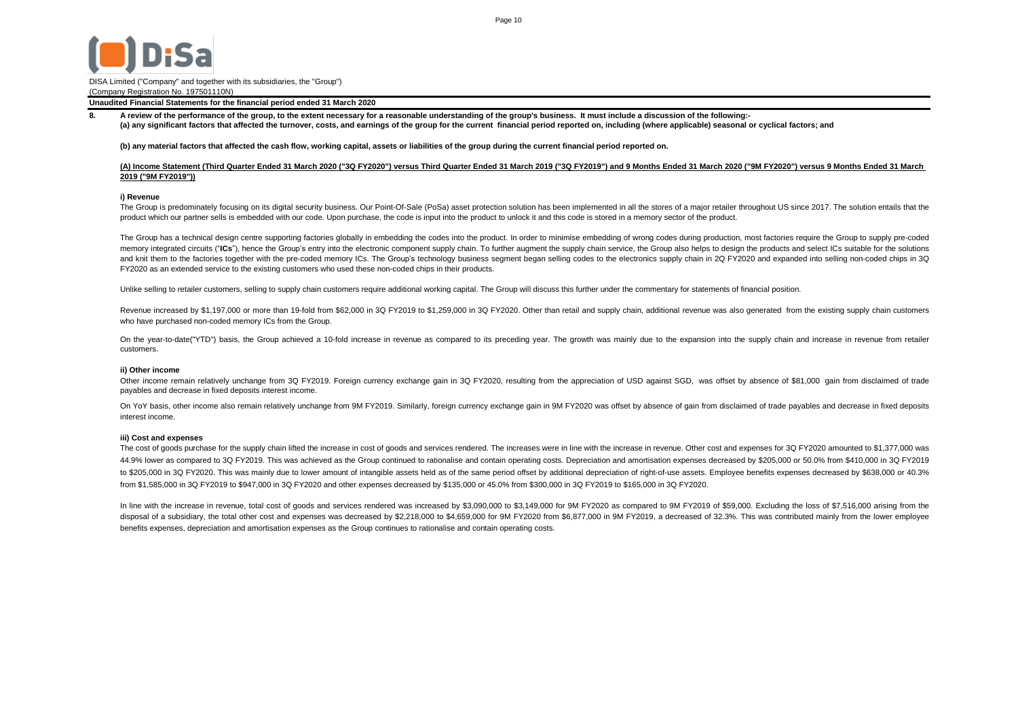

**Unaudited Financial Statements for the financial period ended 31 March 2020**

**(a) any significant factors that affected the turnover, costs, and earnings of the group for the current financial period reported on, including (where applicable) seasonal or cyclical factors; and A review of the performance of the group, to the extent necessary for a reasonable understanding of the group's business. It must include a discussion of the following:-**

#### **(b) any material factors that affected the cash flow, working capital, assets or liabilities of the group during the current financial period reported on.**

#### **(A) Income Statement (Third Quarter Ended 31 March 2020 ("3Q FY2020") versus Third Quarter Ended 31 March 2019 ("3Q FY2019") and 9 Months Ended 31 March 2020 ("9M FY2020") versus 9 Months Ended 31 March 2019 ("9M FY2019"))**

#### **i) Revenue**

**8.**

The Group is predominately focusing on its digital security business. Our Point-Of-Sale (PoSa) asset protection solution has been implemented in all the stores of a major retailer throughout US since 2017. The solution ent product which our partner sells is embedded with our code. Upon purchase, the code is input into the product to unlock it and this code is stored in a memory sector of the product.

The Group has a technical design centre supporting factories globally in embedding the codes into the product. In order to minimise embedding of wrong codes during production, most factories require the Group to supply pre memory integrated circuits ("ICs"), hence the Group's entry into the electronic component supply chain. To further augment the supply chain service, the Group also helps to design the products and select ICs suitable for t and knit them to the factories together with the pre-coded memory ICs. The Group's technology business segment began selling codes to the electronics supply chain in 2Q FY2020 and expanded into selling non-coded chips in 3 FY2020 as an extended service to the existing customers who used these non-coded chips in their products.

Unlike selling to retailer customers, selling to supply chain customers require additional working capital. The Group will discuss this further under the commentary for statements of financial position.

Revenue increased by \$1,197,000 or more than 19-fold from \$62,000 in 3Q FY2019 to \$1,259,000 in 3Q FY2020. Other than retail and supply chain, additional revenue was also generated from the existing supply chain customers who have purchased non-coded memory ICs from the Group.

On the year-to-date("YTD") basis, the Group achieved a 10-fold increase in revenue as compared to its preceding year. The growth was mainly due to the expansion into the supply chain and increase in revenue from retailer customers.

#### **ii) Other income**

Other income remain relatively unchange from 3Q FY2019. Foreign currency exchange gain in 3Q FY2020, resulting from the appreciation of USD against SGD, was offset by absence of \$81,000 gain from disclaimed of trade payables and decrease in fixed deposits interest income.

On YoY basis, other income also remain relatively unchange from 9M FY2019. Similarly, foreign currency exchange gain in 9M FY2020 was offset by absence of gain from disclaimed of trade payables and decrease in fixed deposi interest income.

#### **iii) Cost and expenses**

The cost of goods purchase for the supply chain lifted the increase in cost of goods and services rendered. The increases were in line with the increase in revenue. Other cost and expenses for 3Q FY2020 amounted to \$1,377, 44.9% lower as compared to 3Q FY2019. This was achieved as the Group continued to rationalise and contain operating costs. Depreciation and amortisation expenses decreased by \$205,000 or 50.0% from \$410,000 in 3Q FY2019 to \$205,000 in 3Q FY2020. This was mainly due to lower amount of intangible assets held as of the same period offset by additional depreciation of right-of-use assets. Employee benefits expenses decreased by \$638,000 or 40 from \$1,585,000 in 3Q FY2019 to \$947,000 in 3Q FY2020 and other expenses decreased by \$135,000 or 45.0% from \$300,000 in 3Q FY2019 to \$165,000 in 3Q FY2020.

In line with the increase in revenue, total cost of goods and services rendered was increased by \$3,090,000 to \$3,149,000 for 9M FY2020 as compared to 9M FY2019 of \$59,000. Excluding the loss of \$7,516,000 arising from the disposal of a subsidiary, the total other cost and expenses was decreased by \$2,218,000 to \$4,659,000 for 9M FY2020 from \$6,877,000 in 9M FY2019, a decreased of 32.3%. This was contributed mainly from the lower employee benefits expenses, depreciation and amortisation expenses as the Group continues to rationalise and contain operating costs.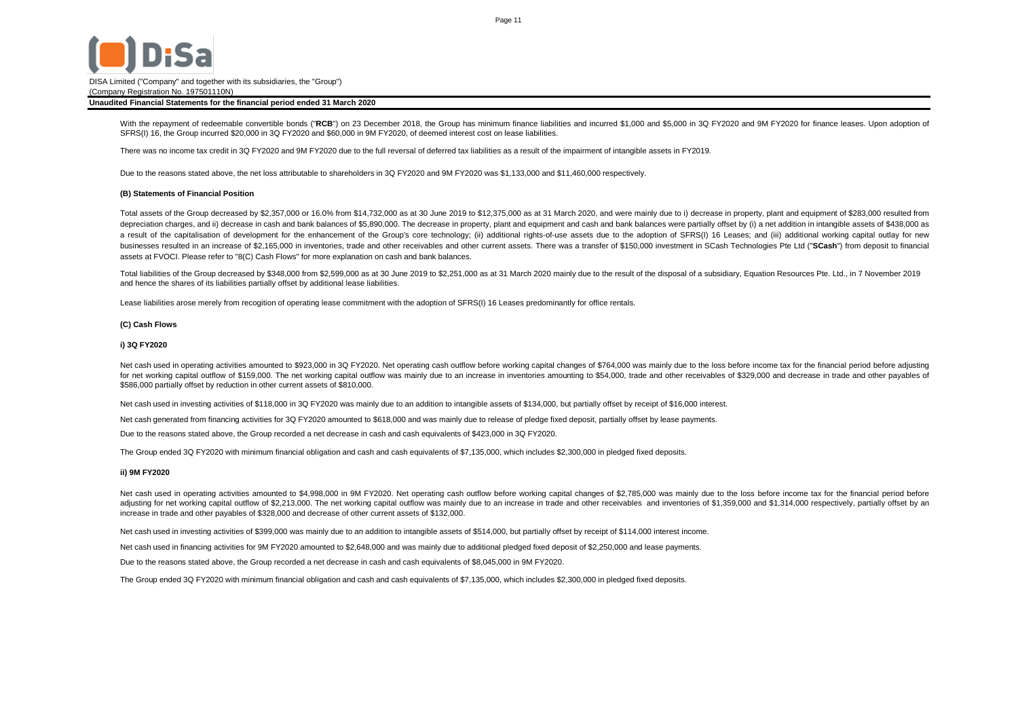

#### **Unaudited Financial Statements for the financial period ended 31 March 2020**

With the repayment of redeemable convertible bonds ("**RCB**") on 23 December 2018, the Group has minimum finance liabilities and incurred \$1,000 and \$5,000 in 3Q FY2020 and 9M FY2020 for finance leases. Upon adoption of SFRS(I) 16, the Group incurred \$20,000 in 3Q FY2020 and \$60,000 in 9M FY2020, of deemed interest cost on lease liabilities.

There was no income tax credit in 3Q FY2020 and 9M FY2020 due to the full reversal of deferred tax liabilities as a result of the impairment of intangible assets in FY2019.

Due to the reasons stated above, the net loss attributable to shareholders in 3Q FY2020 and 9M FY2020 was \$1,133,000 and \$11,460,000 respectively.

#### **(B) Statements of Financial Position**

Total assets of the Group decreased by \$2,357,000 or 16.0% from \$14,732,000 as at 30 June 2019 to \$12,375,000 as at 31 March 2020, and were mainly due to i) decrease in property, plant and equipment of \$283,000 resulted from depreciation charges, and ii) decrease in cash and bank balances of \$5,890,000. The decrease in property, plant and equipment and cash and bank balances were partially offset by (i) a net addition in intangible assets of \$ a result of the capitalisation of development for the enhancement of the Group's core technology; (ii) additional rights-of-use assets due to the adoption of SFRS(I) 16 Leases; and (iii) additional working capital outlay f businesses resulted in an increase of \$2.165.000 in inventories, trade and other receivables and other current assets. There was a transfer of \$150.000 investment in SCash Technologies Pte Ltd ("SCash") from deposit to fin assets at FVOCI. Please refer to "8(C) Cash Flows" for more explanation on cash and bank balances.

Total liabilities of the Group decreased by \$348,000 from \$2,599,000 as at 30 June 2019 to \$2,251,000 as at 31 March 2020 mainly due to the result of the disposal of a subsidiary, Equation Resources Pte. Ltd., in 7 Novembe and hence the shares of its liabilities partially offset by additional lease liabilities.

Lease liabilities arose merely from recogition of operating lease commitment with the adoption of SFRS(I) 16 Leases predominantly for office rentals.

#### **(C) Cash Flows**

#### **i) 3Q FY2020**

Net cash used in operating activities amounted to \$923,000 in 3Q FY2020. Net operating cash outflow before working capital changes of \$764,000 was mainly due to the loss before income tax for the financial period before ad for net working capital outflow of \$159,000. The net working capital outflow was mainly due to an increase in inventories amounting to \$54,000, trade and other receivables of \$329,000 and decrease in trade and other payabl \$586,000 partially offset by reduction in other current assets of \$810,000.

Net cash used in investing activities of \$118,000 in 3Q FY2020 was mainly due to an addition to intangible assets of \$134,000, but partially offset by receipt of \$16,000 interest.

Net cash generated from financing activities for 3Q FY2020 amounted to \$618,000 and was mainly due to release of pledge fixed deposit, partially offset by lease payments.

Due to the reasons stated above, the Group recorded a net decrease in cash and cash equivalents of \$423,000 in 3Q FY2020.

The Group ended 3Q FY2020 with minimum financial obligation and cash and cash equivalents of \$7,135,000, which includes \$2,300,000 in pledged fixed deposits.

#### **ii) 9M FY2020**

Net cash used in operating activities amounted to \$4,998,000 in 9M FY2020. Net operating cash outflow before working capital changes of \$2,785,000 was mainly due to the loss before income tax for the financial period befor adjusting for net working capital outflow of \$2,213,000. The net working capital outflow was mainly due to an increase in trade and other receivables and inventories of \$1,359,000 and \$1,314,000 respectively, partially off increase in trade and other payables of \$328,000 and decrease of other current assets of \$132,000.

Net cash used in investing activities of \$399,000 was mainly due to an addition to intangible assets of \$514,000, but partially offset by receipt of \$114,000 interest income.

Net cash used in financing activities for 9M FY2020 amounted to \$2,648,000 and was mainly due to additional pledged fixed deposit of \$2,250,000 and lease payments.

Due to the reasons stated above, the Group recorded a net decrease in cash and cash equivalents of \$8,045,000 in 9M FY2020.

The Group ended 3Q FY2020 with minimum financial obligation and cash and cash equivalents of \$7,135,000, which includes \$2,300,000 in pledged fixed deposits.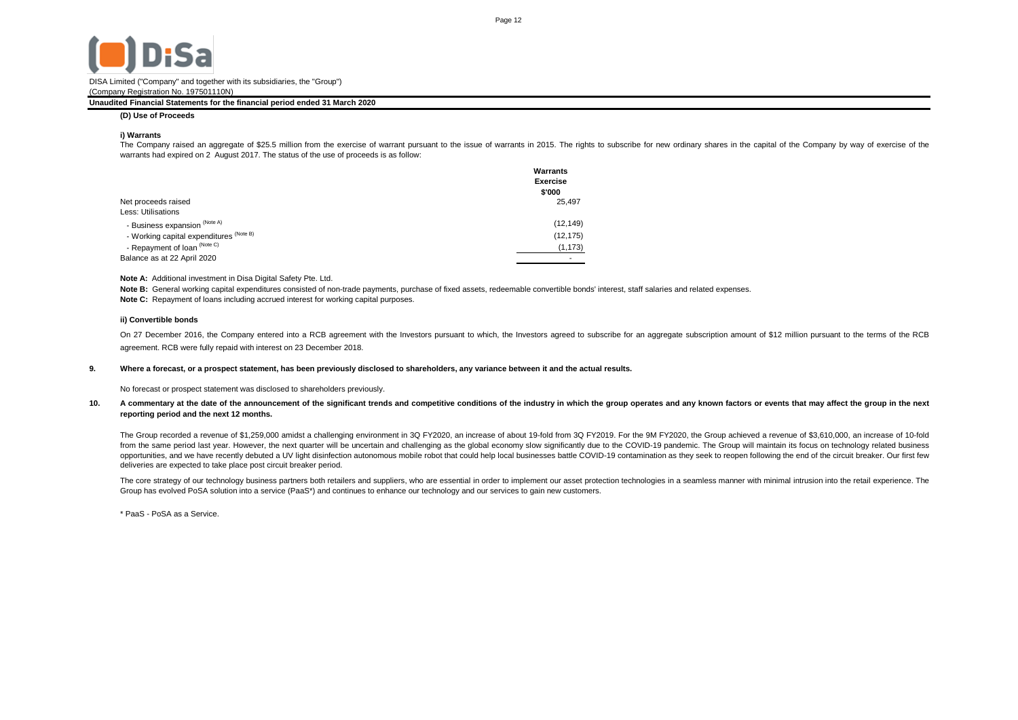

#### **Unaudited Financial Statements for the financial period ended 31 March 2020**

**(D) Use of Proceeds**

#### **i) Warrants**

The Company raised an aggregate of \$25.5 million from the exercise of warrant pursuant to the issue of warrants in 2015. The rights to subscribe for new ordinary shares in the capital of the Company by way of exercise of the warrants had expired on 2 August 2017. The status of the use of proceeds is as follow:

| Net proceeds raised<br>Less: Utilisations | Warrants<br><b>Exercise</b><br>\$'000<br>25.497 |
|-------------------------------------------|-------------------------------------------------|
| - Business expansion (Note A)             | (12, 149)                                       |
| - Working capital expenditures (Note B)   | (12, 175)                                       |
| - Repayment of loan (Note C)              | (1, 173)                                        |
| Balance as at 22 April 2020               |                                                 |

#### **Note A:** Additional investment in Disa Digital Safety Pte. Ltd.

**Note C:** Repayment of loans including accrued interest for working capital purposes. Note B: General working capital expenditures consisted of non-trade payments, purchase of fixed assets, redeemable convertible bonds' interest, staff salaries and related expenses.

#### **ii) Convertible bonds**

On 27 December 2016, the Company entered into a RCB agreement with the Investors pursuant to which, the Investors agreed to subscribe for an aggregate subscription amount of \$12 million pursuant to the terms of the RCB agreement. RCB were fully repaid with interest on 23 December 2018.

#### **9. Where a forecast, or a prospect statement, has been previously disclosed to shareholders, any variance between it and the actual results.**

No forecast or prospect statement was disclosed to shareholders previously.

#### **10.** A commentary at the date of the announcement of the significant trends and competitive conditions of the industry in which the group operates and any known factors or events that may affect the group in the next **reporting period and the next 12 months.**

The Group recorded a revenue of \$1,259,000 amidst a challenging environment in 3Q FY2020, an increase of about 19-fold from 3Q FY2019. For the 9M FY2020, the Group achieved a revenue of \$3,610,000, an increase of 10-fold from the same period last year. However, the next quarter will be uncertain and challenging as the global economy slow significantly due to the COVID-19 pandemic. The Group will maintain its focus on technology related bus opportunities, and we have recently debuted a UV light disinfection autonomous mobile robot that could help local businesses battle COVID-19 contamination as they seek to reopen following the end of the circuit breaker. Ou deliveries are expected to take place post circuit breaker period.

The core strategy of our technology business partners both retailers and suppliers, who are essential in order to implement our asset protection technologies in a seamless manner with minimal intrusion into the retail expe Group has evolved PoSA solution into a service (PaaS\*) and continues to enhance our technology and our services to gain new customers.

\* PaaS - PoSA as a Service.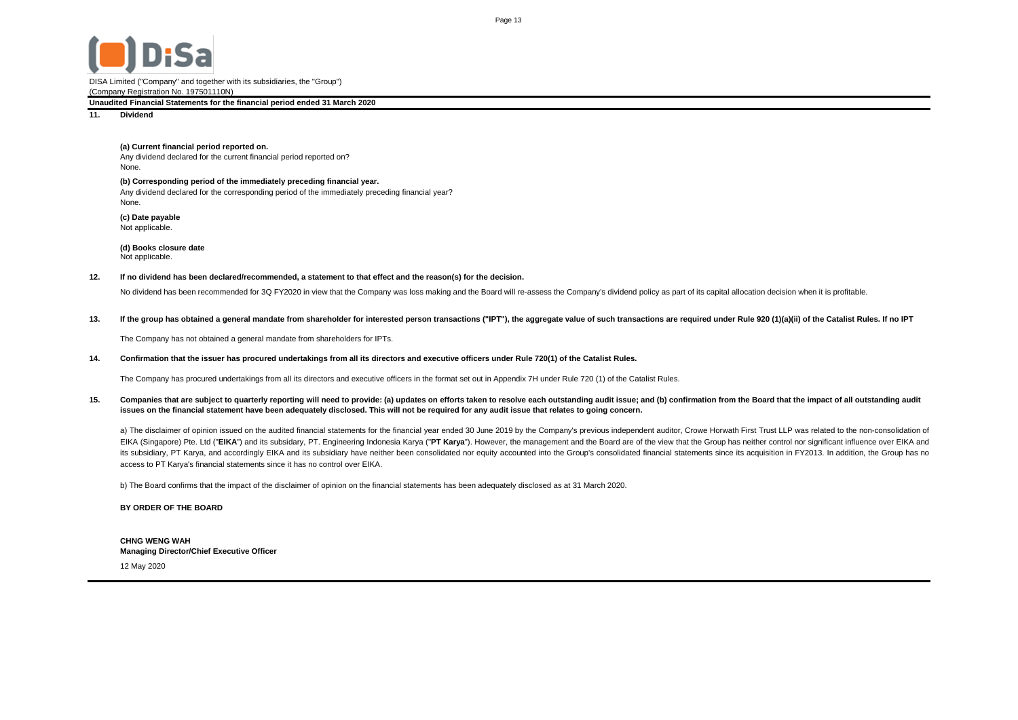

### **Unaudited Financial Statements for the financial period ended 31 March 2020**

**11. Dividend**

## **(a) Current financial period reported on.**

Any dividend declared for the current financial period reported on? None.

**(b) Corresponding period of the immediately preceding financial year.** Any dividend declared for the corresponding period of the immediately preceding financial year? None.

**(c) Date payable** Not applicable.

**(d) Books closure date** Not applicable.

#### **12. If no dividend has been declared/recommended, a statement to that effect and the reason(s) for the decision.**

No dividend has been recommended for 3Q FY2020 in view that the Company was loss making and the Board will re-assess the Company's dividend policy as part of its capital allocation decision when it is profitable.

#### **13.** If the group has obtained a general mandate from shareholder for interested person transactions ("IPT"), the aggregate value of such transactions are required under Rule 920 (1)(a)(ii) of the Catalist Rules. If no IPT

The Company has not obtained a general mandate from shareholders for IPTs.

#### **14. Confirmation that the issuer has procured undertakings from all its directors and executive officers under Rule 720(1) of the Catalist Rules.**

The Company has procured undertakings from all its directors and executive officers in the format set out in Appendix 7H under Rule 720 (1) of the Catalist Rules.

#### **15.** Companies that are subject to quarterly reporting will need to provide: (a) updates on efforts taken to resolve each outstanding audit issue; and (b) confirmation from the Board that the impact of all outstanding audit **issues on the financial statement have been adequately disclosed. This will not be required for any audit issue that relates to going concern.**

a) The disclaimer of opinion issued on the audited financial statements for the financial year ended 30 June 2019 by the Company's previous independent auditor, Crowe Horwath First Trust LLP was related to the non-consolid EIKA (Singapore) Pte. Ltd ("EIKA") and its subsidary, PT. Engineering Indonesia Karya ("PT Karya"). However, the management and the Board are of the view that the Group has neither control nor significant influence over EI its subsidiary, PT Karya, and accordingly EIKA and its subsidiary have neither been consolidated nor equity accounted into the Group's consolidated financial statements since its acquisition in FY2013. In addition, the Gro access to PT Karya's financial statements since it has no control over EIKA.

b) The Board confirms that the impact of the disclaimer of opinion on the financial statements has been adequately disclosed as at 31 March 2020.

**BY ORDER OF THE BOARD**

**CHNG WENG WAH Managing Director/Chief Executive Officer**

12 May 2020